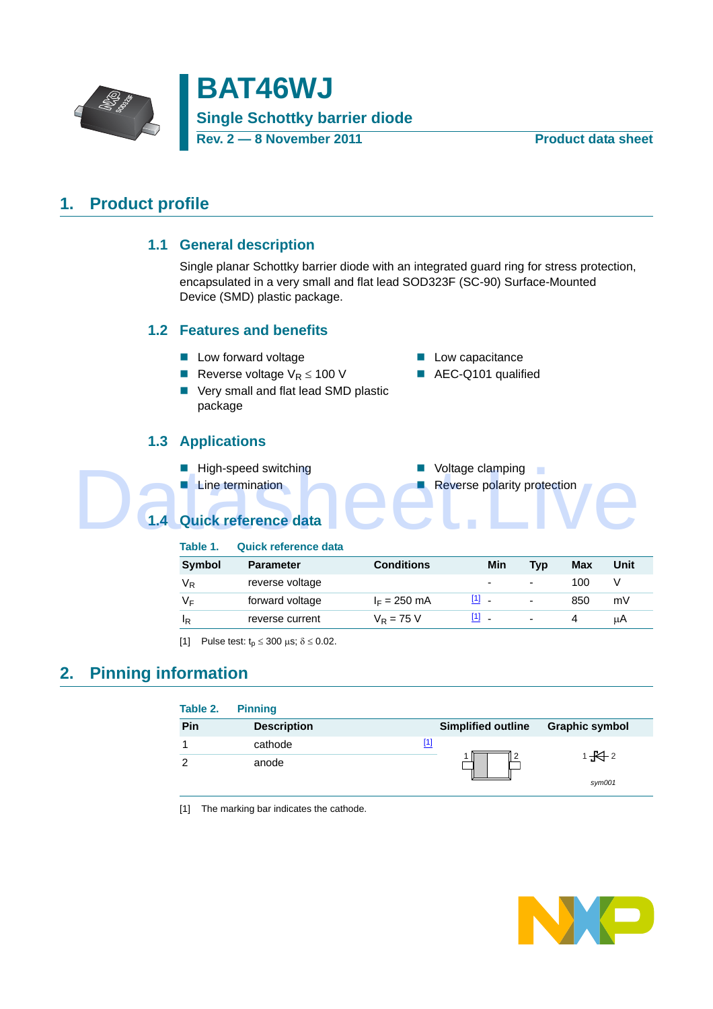

**BAT46WJ Single Schottky barrier diode Rev. 2 — 8 November 2011 Product data sheet**

## <span id="page-0-2"></span>**1. Product profile**

#### **1.1 General description**

Single planar Schottky barrier diode with an integrated guard ring for stress protection, encapsulated in a very small and flat lead SOD323F (SC-90) Surface-Mounted Device (SMD) plastic package.

#### <span id="page-0-3"></span>**1.2 Features and benefits**

- Low forward voltage **Low Capacitance**
- Reverse voltage  $V_R \le 100$  V **AEC-Q101** qualified
- Very small and flat lead SMD plastic package

### **1.3 Applications**

- High-speed switching **Notage Clamping** 
	-
- -
- **E** Line termination **Reverse polarity protection**

<span id="page-0-5"></span><span id="page-0-4"></span>**1.4 Quick reference data** High-speed switching<br>
Line termination<br>
1.4 Quick reference data<br>
This experiment of the context of the context of the context of the context of the context of the context of the context of the context of the context of th

| Table 1.       | <b>Quick reference data</b> |                |                          |                          |     |      |
|----------------|-----------------------------|----------------|--------------------------|--------------------------|-----|------|
| Symbol         | <b>Parameter</b>            | Conditions     | Min                      | Tvp                      | Max | Unit |
| V <sub>R</sub> | reverse voltage             |                | $\overline{\phantom{a}}$ | $\overline{\phantom{0}}$ | 100 |      |
| V⊧             | forward voltage             | $I_F = 250$ mA | $[1]$                    | -                        | 850 | mV   |
| ΙŖ             | reverse current             | $V_R = 75 V$   | $[1]$ .                  | $\overline{\phantom{0}}$ | 4   | μA   |

<span id="page-0-0"></span>[1] Pulse test:  $t_p \le 300 \text{ }\mu\text{s}; \delta \le 0.02$ .

## <span id="page-0-6"></span>**2. Pinning information**

| Table 2. | <b>Pinning</b>     |     |                           |                       |
|----------|--------------------|-----|---------------------------|-----------------------|
| Pin      | <b>Description</b> |     | <b>Simplified outline</b> | <b>Graphic symbol</b> |
|          | cathode            | [1] |                           |                       |
| ົ        | anode              |     |                           | $1 + 2$<br>sym001     |

<span id="page-0-1"></span>[1] The marking bar indicates the cathode.

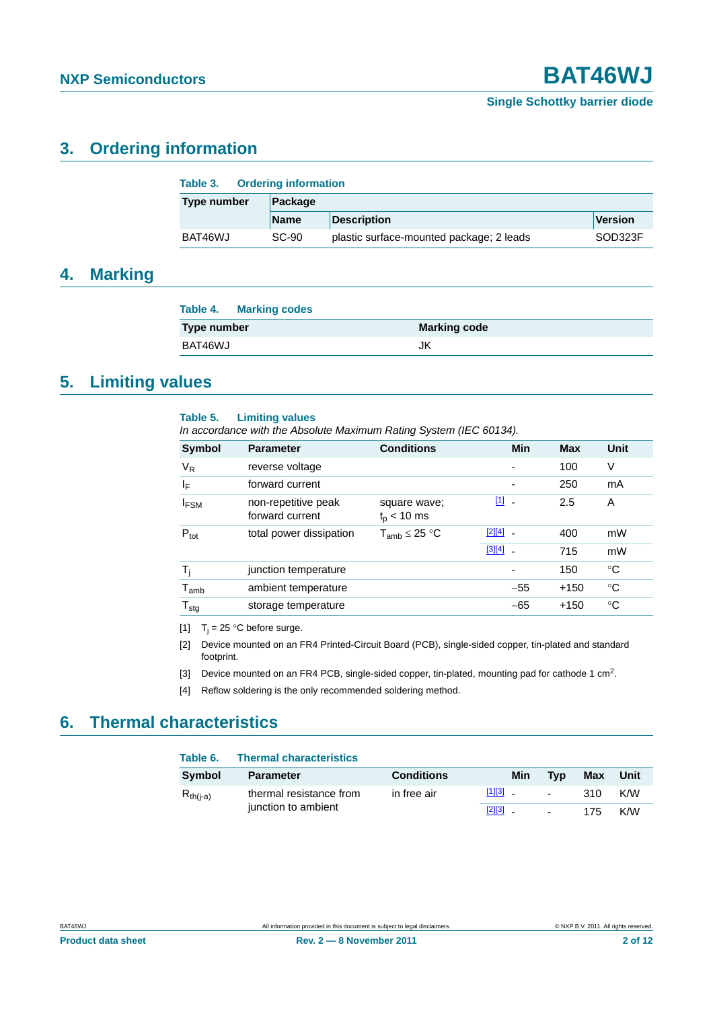## <span id="page-1-4"></span>**3. Ordering information**

| Table 3.    | <b>Ordering information</b> |                                          |         |  |  |
|-------------|-----------------------------|------------------------------------------|---------|--|--|
| Type number | Package                     |                                          |         |  |  |
|             | <b>Name</b>                 | <b>Description</b>                       | Version |  |  |
| BAT46WJ     | SC-90                       | plastic surface-mounted package; 2 leads | SOD323F |  |  |

### <span id="page-1-5"></span>**4. Marking**

| <b>Table 4. Marking codes</b> |                     |
|-------------------------------|---------------------|
| Type number                   | <b>Marking code</b> |
| BAT46WJ                       | JK                  |

## <span id="page-1-6"></span>**5. Limiting values**

#### **Table 5. Limiting values**

*In accordance with the Absolute Maximum Rating System (IEC 60134).*

| <b>Symbol</b>               | <b>Parameter</b>                       | <b>Conditions</b>               | <b>Min</b>                     | <b>Max</b> | Unit |
|-----------------------------|----------------------------------------|---------------------------------|--------------------------------|------------|------|
| $V_{R}$                     | reverse voltage                        |                                 | $\blacksquare$                 | 100        | V    |
| ΙF                          | forward current                        |                                 | $\overline{\phantom{a}}$       | 250        | mA   |
| <b>IFSM</b>                 | non-repetitive peak<br>forward current | square wave;<br>$t_{p}$ < 10 ms | $[1]$ $\overline{\phantom{a}}$ | 2.5        | A    |
| $P_{\text{tot}}$            | total power dissipation                | $T_{amb} \leq 25 °C$            | $[2][4]$ $-$                   | 400        | mW   |
|                             |                                        |                                 | $[3][4]$ $-$                   | 715        | mW   |
| T,                          | junction temperature                   |                                 |                                | 150        | °C   |
| $\mathsf{T}_{\mathsf{amb}}$ | ambient temperature                    |                                 | $-55$                          | $+150$     | °C   |
| ${\mathsf T}_{\text{stg}}$  | storage temperature                    |                                 | $-65$                          | $+150$     | °C   |

<span id="page-1-0"></span>[1]  $T_i = 25$  °C before surge.

<span id="page-1-1"></span>[2] Device mounted on an FR4 Printed-Circuit Board (PCB), single-sided copper, tin-plated and standard footprint.

<span id="page-1-3"></span>[3] Device mounted on an FR4 PCB, single-sided copper, tin-plated, mounting pad for cathode 1 cm<sup>2</sup>.

<span id="page-1-2"></span>[4] Reflow soldering is the only recommended soldering method.

## <span id="page-1-7"></span>**6. Thermal characteristics**

| Table 6.      | <b>Thermal characteristics</b> |                   |              |                 |     |      |
|---------------|--------------------------------|-------------------|--------------|-----------------|-----|------|
| Symbol        | <b>Parameter</b>               | <b>Conditions</b> | Min          | Tvp             | Max | Unit |
| $R_{th(i-a)}$ | thermal resistance from        | in free air       | $[1][3]$ $-$ | $\sim$ 10 $\pm$ | 310 | K/W  |
|               | junction to ambient            |                   | $[2][3]$ $-$ | $\sim$          | 175 | K/W  |

**Product data sheet** 2 of 12 and 2 of 12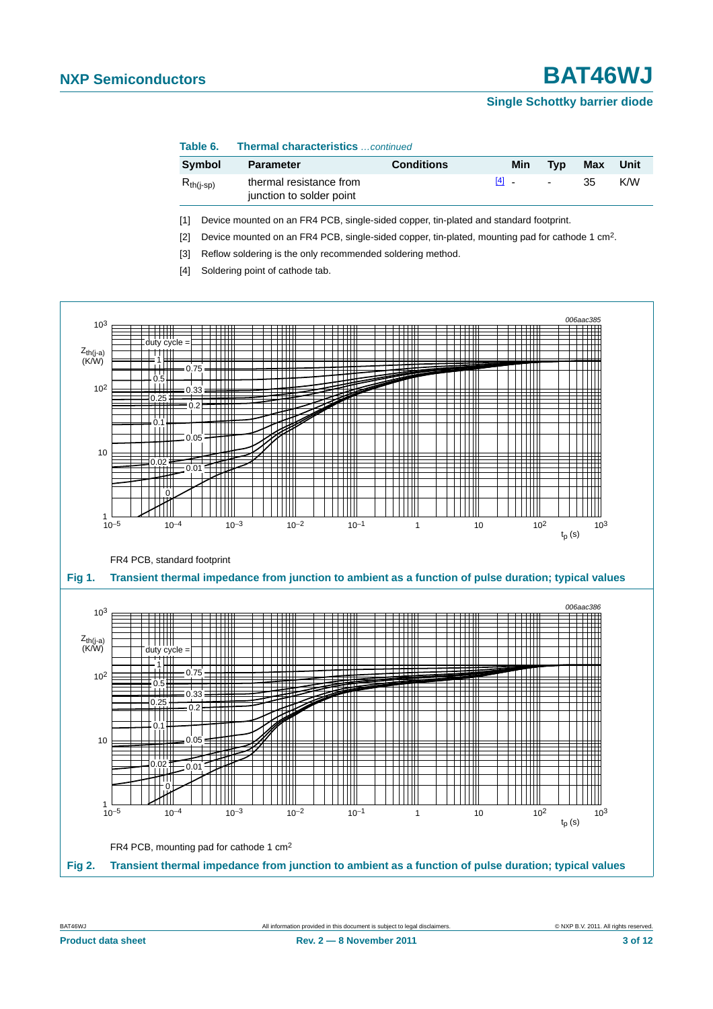#### **Single Schottky barrier diode**

#### **Table 6. Thermal characteristics** *…continued*

| Symbol         | <b>Parameter</b>                                    | <b>Conditions</b> | Min       | Tvp    | Max | Unit |
|----------------|-----------------------------------------------------|-------------------|-----------|--------|-----|------|
| $R_{th(i-sp)}$ | thermal resistance from<br>junction to solder point |                   | $[4]$ $-$ | $\sim$ | 35  | K/W  |

<span id="page-2-0"></span>[1] Device mounted on an FR4 PCB, single-sided copper, tin-plated and standard footprint.

<span id="page-2-2"></span>[2] Device mounted on an FR4 PCB, single-sided copper, tin-plated, mounting pad for cathode 1 cm<sup>2</sup>.

<span id="page-2-1"></span>[3] Reflow soldering is the only recommended soldering method.

<span id="page-2-3"></span>[4] Soldering point of cathode tab.

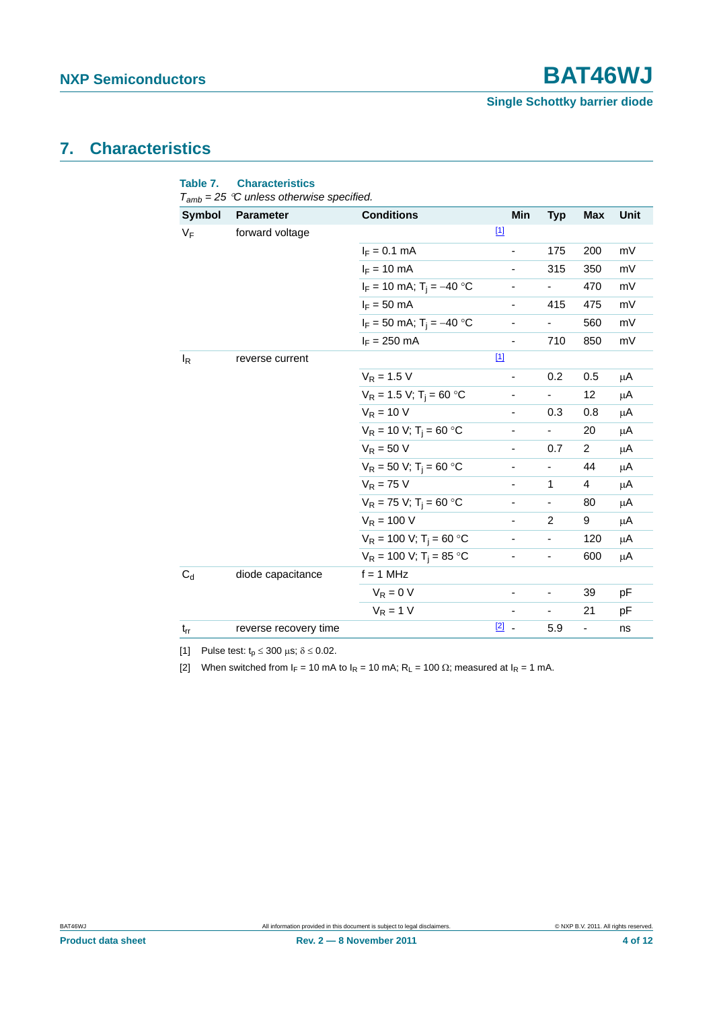## <span id="page-3-3"></span>**7. Characteristics**

<span id="page-3-2"></span>

| <b>Symbol</b> | <b>Parameter</b>                       | <b>Conditions</b>                      | Min                          | <b>Typ</b>     | <b>Max</b>               | Unit    |
|---------------|----------------------------------------|----------------------------------------|------------------------------|----------------|--------------------------|---------|
| $V_F$         | forward voltage                        |                                        | $\boxed{1}$                  |                |                          |         |
|               |                                        | $I_F = 0.1$ mA                         | -                            | 175            | 200                      | mV      |
|               |                                        | $I_F = 10$ mA                          |                              | 315            | 350                      | mV      |
|               |                                        | $I_F = 10$ mA; $T_i = -40$ °C          |                              |                | 470                      | mV      |
|               |                                        | $I_F = 50$ mA                          | $\overline{\phantom{0}}$     | 415            | 475                      | mV      |
|               |                                        | $I_F = 50$ mA; $T_i = -40$ °C          |                              | -              | 560                      | mV      |
|               |                                        | $I_F = 250$ mA                         |                              | 710            | 850                      | mV      |
| $I_R$         | reverse current                        |                                        | $[1]$                        |                |                          |         |
|               |                                        | $V_R = 1.5 V$                          | $\overline{\phantom{a}}$     | 0.2            | 0.5                      | μA      |
|               | $V_R = 1.5 V$ ; T <sub>i</sub> = 60 °C |                                        |                              | 12             | μA                       |         |
|               | $V_R = 10 V$                           | Ξ.                                     | 0.3                          | 0.8            | $\mu$ A                  |         |
|               | $V_R = 10 V$ ; T <sub>i</sub> = 60 °C  |                                        |                              | 20             | μA                       |         |
|               | $V_R = 50 V$                           | ä,                                     | 0.7                          | $\overline{2}$ | $\mu$ A                  |         |
|               | $V_R = 50 V$ ; T <sub>i</sub> = 60 °C  | -                                      | $\qquad \qquad \blacksquare$ | 44             | μA                       |         |
|               |                                        | $V_R = 75 V$                           | ۰                            | 1              | 4                        | $\mu$ A |
|               |                                        | $V_R = 75 V$ ; T <sub>i</sub> = 60 °C  | $\qquad \qquad \blacksquare$ | -              | 80                       | μA      |
|               |                                        | $V_R = 100 V$                          |                              | 2              | 9                        | μA      |
|               |                                        | $V_R = 100 V$ ; T <sub>i</sub> = 60 °C |                              | $\frac{1}{2}$  | 120                      | μA      |
|               |                                        | $V_R = 100 V$ ; T <sub>i</sub> = 85 °C |                              |                | 600                      | μA      |
| $C_d$         | diode capacitance                      | $f = 1$ MHz                            |                              |                |                          |         |
|               |                                        | $V_R = 0 V$                            |                              | ÷,             | 39                       | pF      |
|               |                                        | $V_R = 1 V$                            |                              |                | 21                       | pF      |
| $t_{rr}$      | reverse recovery time                  |                                        | $\boxed{2}$ -                | 5.9            | $\overline{\phantom{0}}$ | ns      |

<span id="page-3-0"></span>[1] Pulse test:  $t_p \le 300 \text{ }\mu\text{s}; \delta \le 0.02.$ 

<span id="page-3-1"></span>[2] When switched from  $I_F = 10$  mA to  $I_R = 10$  mA;  $R_L = 100 \Omega$ ; measured at  $I_R = 1$  mA.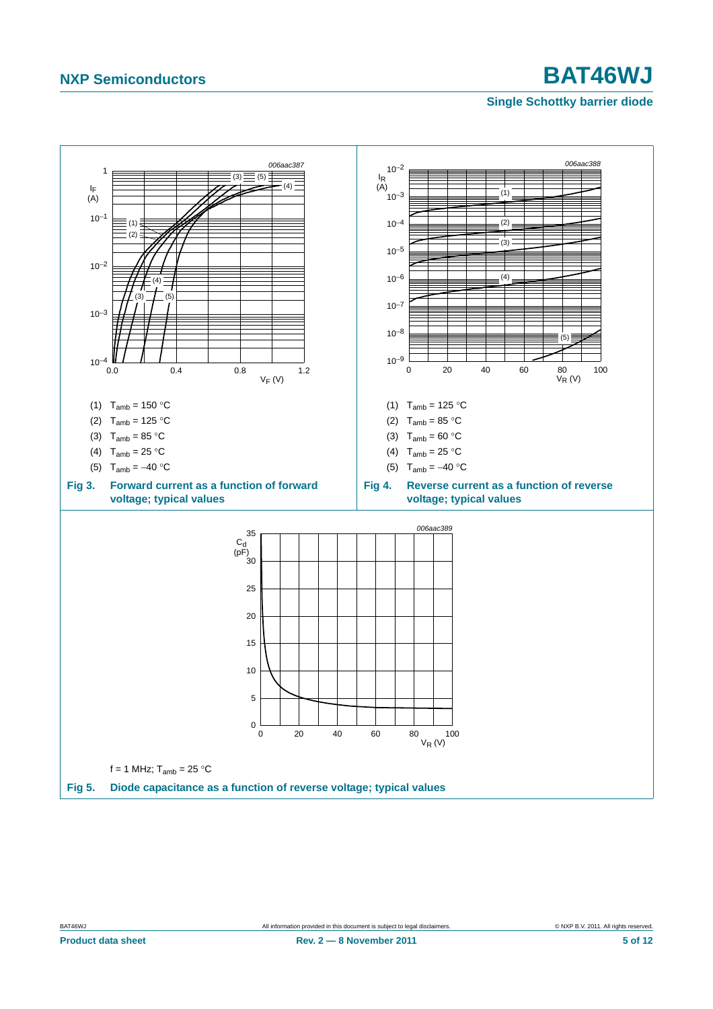#### **Single Schottky barrier diode**

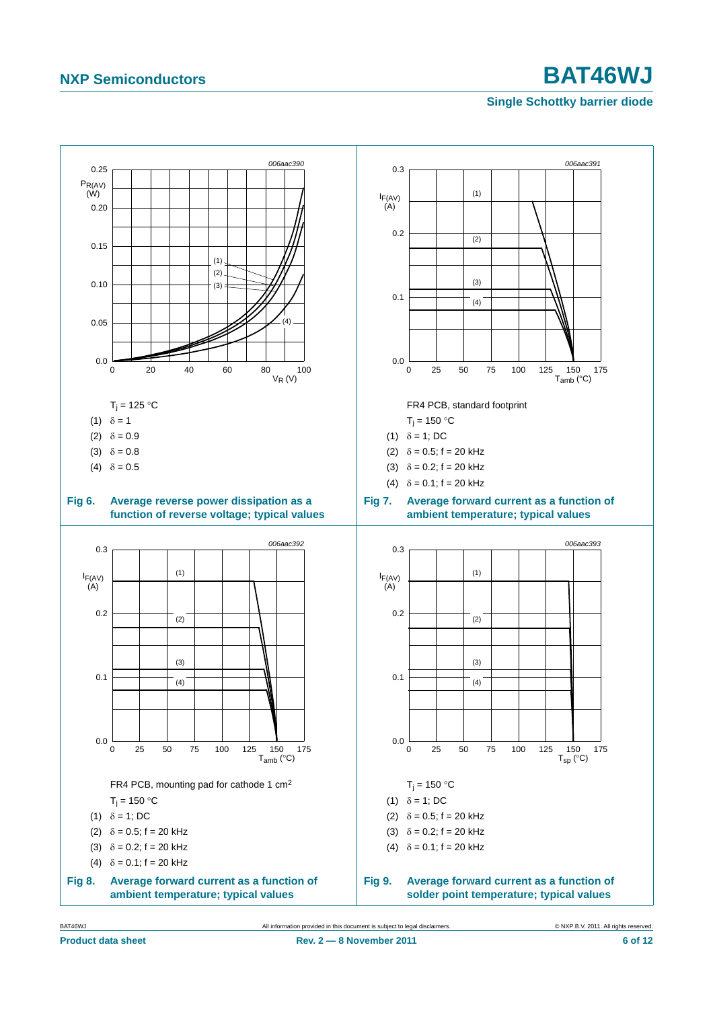#### <span id="page-5-0"></span>**Single Schottky barrier diode**



<span id="page-5-2"></span><span id="page-5-1"></span>BAT46WJ All information provided in this document is subject to legal disclaimers. © NXP B.V. 2011. All rights reserved.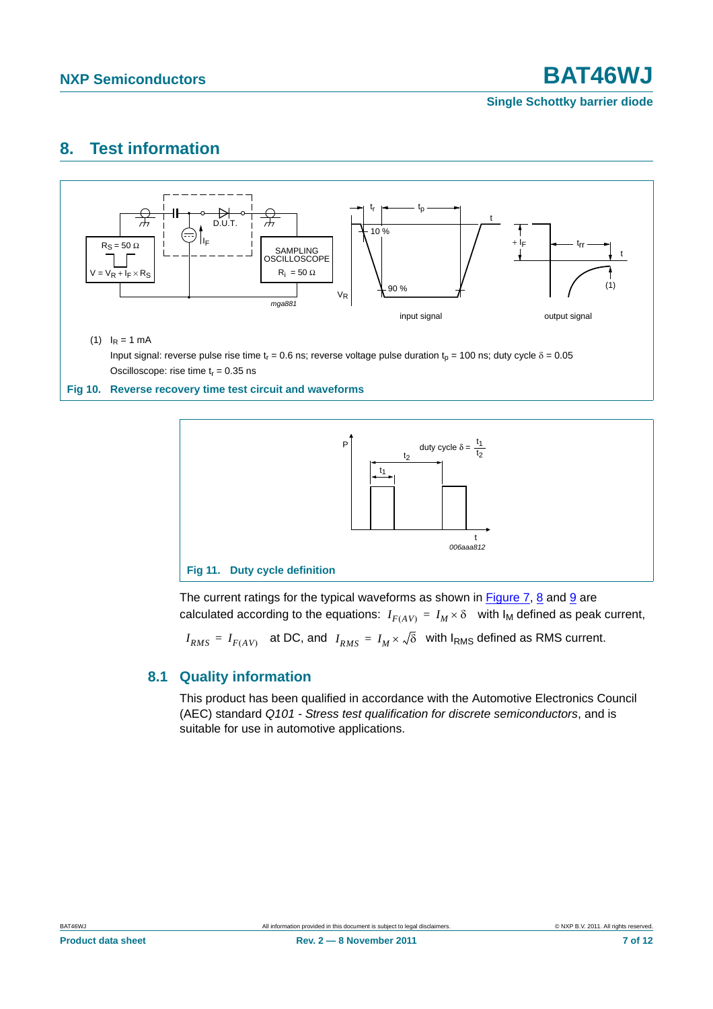**Single Schottky barrier diode**

## <span id="page-6-0"></span>**8. Test information**



#### **Fig 10. Reverse recovery time test circuit and waveforms**



The current ratings for the typical waveforms as shown in [Figure 7](#page-5-0), [8](#page-5-1) and [9](#page-5-2) are calculated according to the equations:  $I_{F(AV)} = I_M \times \delta$  with  $I_M$  defined as peak current,

 $I_{RMS}$  =  $I_{F(AV)}$  at DC, and  $I_{RMS}$  =  $I_M \times \sqrt{\delta}$  with I<sub>RMS</sub> defined as RMS current.

#### <span id="page-6-1"></span>**8.1 Quality information**

This product has been qualified in accordance with the Automotive Electronics Council (AEC) standard *Q101 - Stress test qualification for discrete semiconductors*, and is suitable for use in automotive applications.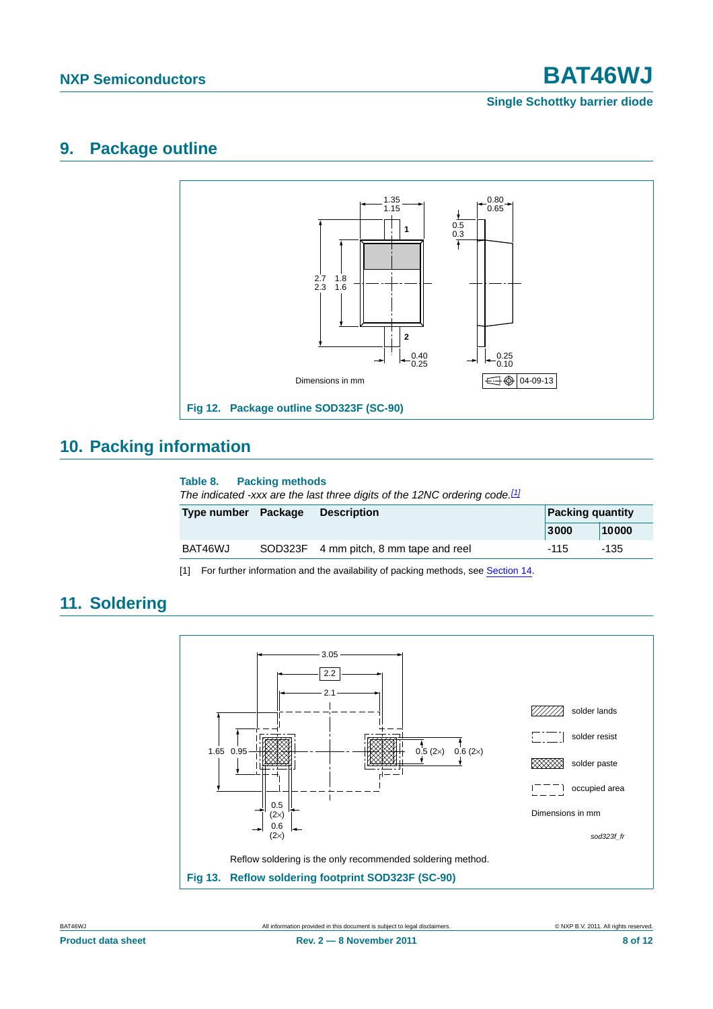**Single Schottky barrier diode**

## <span id="page-7-1"></span>**9. Package outline**



## <span id="page-7-2"></span>**10. Packing information**

#### **Table 8. Packing methods**

*The indicated -xxx are the last three digits of the 12NC ordering code.[\[1\]](#page-7-0)*

| Type number Package | <b>Description</b>                     |        | <b>Packing quantity</b> |
|---------------------|----------------------------------------|--------|-------------------------|
|                     |                                        | 3000   | 10000                   |
| BAT46WJ             | SOD323F 4 mm pitch, 8 mm tape and reel | $-115$ | -135                    |

<span id="page-7-0"></span>[1] For further information and the availability of packing methods, see [Section 14.](#page-10-0)



## <span id="page-7-3"></span>**11. Soldering**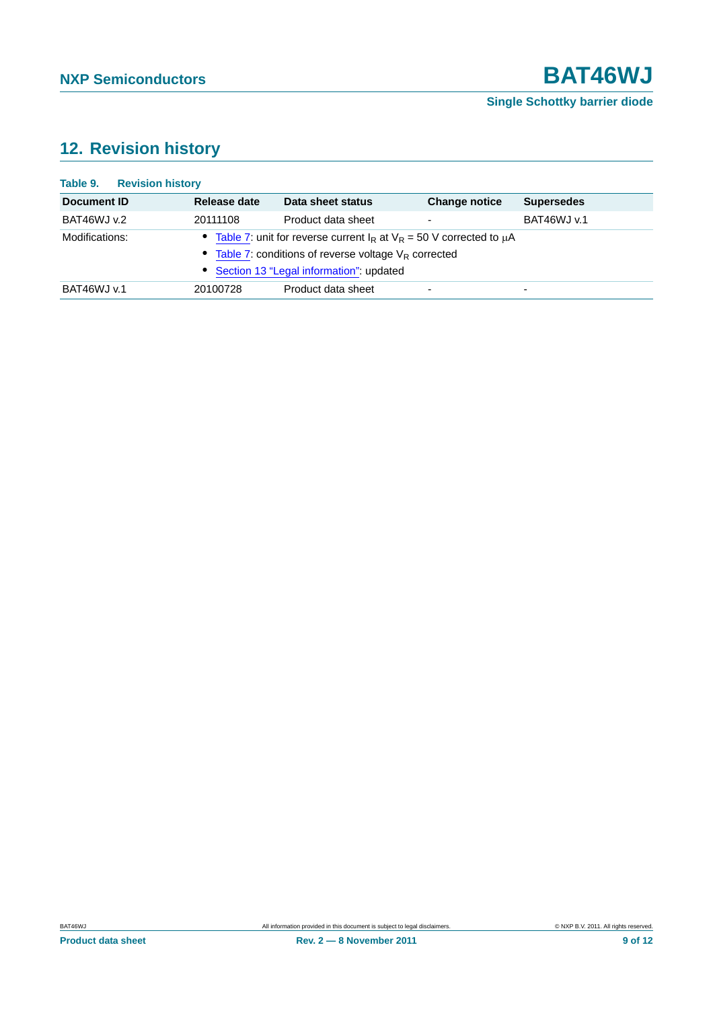# <span id="page-8-0"></span>**12. Revision history**

| <b>Revision history</b><br>Table 9. |              |                                                                                                                                                                                                |                          |                    |
|-------------------------------------|--------------|------------------------------------------------------------------------------------------------------------------------------------------------------------------------------------------------|--------------------------|--------------------|
| Document ID                         | Release date | Data sheet status                                                                                                                                                                              | <b>Change notice</b>     | <b>Supersedes</b>  |
| BAT46WJ v.2                         | 20111108     | Product data sheet                                                                                                                                                                             | $\overline{\phantom{a}}$ | <b>BAT46WJ v.1</b> |
| Modifications:                      |              | Table 7: unit for reverse current $I_R$ at $V_R$ = 50 V corrected to $\mu$ A<br>• Table 7: conditions of reverse voltage V <sub>R</sub> corrected<br>• Section 13 "Legal information": updated |                          |                    |
| BAT46WJ v.1                         | 20100728     | Product data sheet                                                                                                                                                                             | ۰                        | ۰                  |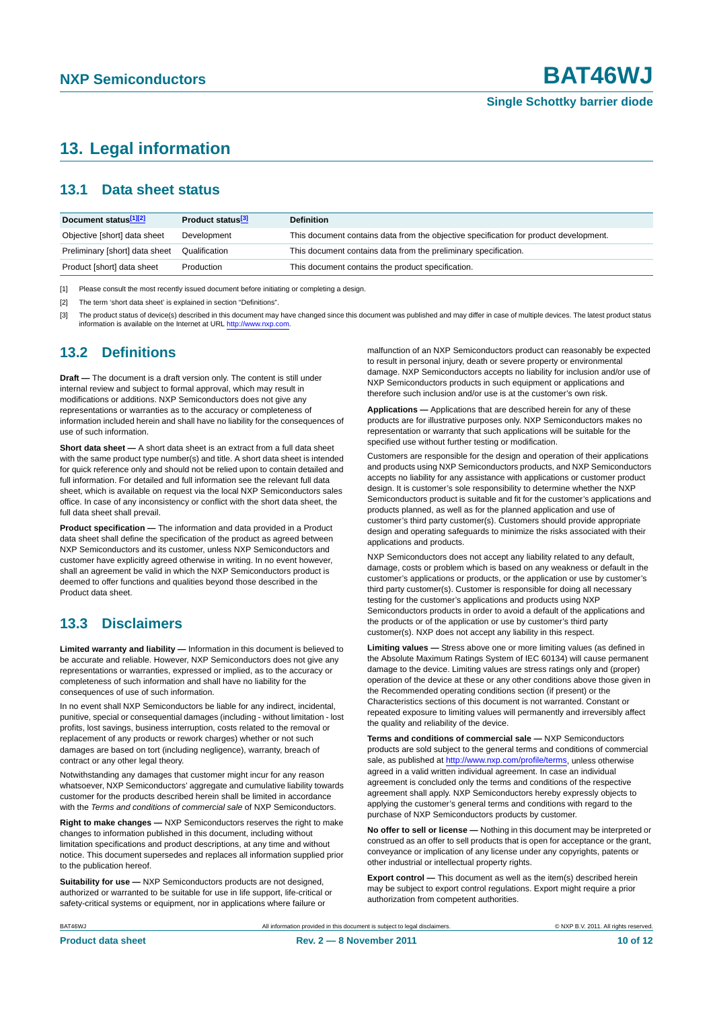## <span id="page-9-0"></span>**13. Legal information**

#### <span id="page-9-1"></span>**13.1 Data sheet status**

| Document status <sup>[1][2]</sup> | Product status <sup>[3]</sup> | <b>Definition</b>                                                                     |
|-----------------------------------|-------------------------------|---------------------------------------------------------------------------------------|
| Objective [short] data sheet      | Development                   | This document contains data from the objective specification for product development. |
| Preliminary [short] data sheet    | Qualification                 | This document contains data from the preliminary specification.                       |
| Product [short] data sheet        | Production                    | This document contains the product specification.                                     |

[1] Please consult the most recently issued document before initiating or completing a design.

[2] The term 'short data sheet' is explained in section "Definitions".

[3] The product status of device(s) described in this document may have changed since this document was published and may differ in case of multiple devices. The latest product status<br>information is available on the Intern

#### <span id="page-9-2"></span>**13.2 Definitions**

**Draft —** The document is a draft version only. The content is still under internal review and subject to formal approval, which may result in modifications or additions. NXP Semiconductors does not give any representations or warranties as to the accuracy or completeness of information included herein and shall have no liability for the consequences of use of such information.

**Short data sheet —** A short data sheet is an extract from a full data sheet with the same product type number(s) and title. A short data sheet is intended for quick reference only and should not be relied upon to contain detailed and full information. For detailed and full information see the relevant full data sheet, which is available on request via the local NXP Semiconductors sales office. In case of any inconsistency or conflict with the short data sheet, the full data sheet shall prevail.

**Product specification —** The information and data provided in a Product data sheet shall define the specification of the product as agreed between NXP Semiconductors and its customer, unless NXP Semiconductors and customer have explicitly agreed otherwise in writing. In no event however, shall an agreement be valid in which the NXP Semiconductors product is deemed to offer functions and qualities beyond those described in the Product data sheet.

#### <span id="page-9-3"></span>**13.3 Disclaimers**

**Limited warranty and liability —** Information in this document is believed to be accurate and reliable. However, NXP Semiconductors does not give any representations or warranties, expressed or implied, as to the accuracy or completeness of such information and shall have no liability for the consequences of use of such information.

In no event shall NXP Semiconductors be liable for any indirect, incidental, punitive, special or consequential damages (including - without limitation - lost profits, lost savings, business interruption, costs related to the removal or replacement of any products or rework charges) whether or not such damages are based on tort (including negligence), warranty, breach of contract or any other legal theory.

Notwithstanding any damages that customer might incur for any reason whatsoever, NXP Semiconductors' aggregate and cumulative liability towards customer for the products described herein shall be limited in accordance with the *Terms and conditions of commercial sale* of NXP Semiconductors.

**Right to make changes —** NXP Semiconductors reserves the right to make changes to information published in this document, including without limitation specifications and product descriptions, at any time and without notice. This document supersedes and replaces all information supplied prior to the publication hereof.

**Suitability for use —** NXP Semiconductors products are not designed, authorized or warranted to be suitable for use in life support, life-critical or safety-critical systems or equipment, nor in applications where failure or

malfunction of an NXP Semiconductors product can reasonably be expected to result in personal injury, death or severe property or environmental damage. NXP Semiconductors accepts no liability for inclusion and/or use of NXP Semiconductors products in such equipment or applications and therefore such inclusion and/or use is at the customer's own risk.

**Applications —** Applications that are described herein for any of these products are for illustrative purposes only. NXP Semiconductors makes no representation or warranty that such applications will be suitable for the specified use without further testing or modification.

Customers are responsible for the design and operation of their applications and products using NXP Semiconductors products, and NXP Semiconductors accepts no liability for any assistance with applications or customer product design. It is customer's sole responsibility to determine whether the NXP Semiconductors product is suitable and fit for the customer's applications and products planned, as well as for the planned application and use of customer's third party customer(s). Customers should provide appropriate design and operating safeguards to minimize the risks associated with their applications and products.

NXP Semiconductors does not accept any liability related to any default, damage, costs or problem which is based on any weakness or default in the customer's applications or products, or the application or use by customer's third party customer(s). Customer is responsible for doing all necessary testing for the customer's applications and products using NXP Semiconductors products in order to avoid a default of the applications and the products or of the application or use by customer's third party customer(s). NXP does not accept any liability in this respect.

**Limiting values —** Stress above one or more limiting values (as defined in the Absolute Maximum Ratings System of IEC 60134) will cause permanent damage to the device. Limiting values are stress ratings only and (proper) operation of the device at these or any other conditions above those given in the Recommended operating conditions section (if present) or the Characteristics sections of this document is not warranted. Constant or repeated exposure to limiting values will permanently and irreversibly affect the quality and reliability of the device.

**Terms and conditions of commercial sale —** NXP Semiconductors products are sold subject to the general terms and conditions of commercial sale, as published at<http://www.nxp.com/profile/terms>, unless otherwise agreed in a valid written individual agreement. In case an individual agreement is concluded only the terms and conditions of the respective agreement shall apply. NXP Semiconductors hereby expressly objects to applying the customer's general terms and conditions with regard to the purchase of NXP Semiconductors products by customer.

**No offer to sell or license —** Nothing in this document may be interpreted or construed as an offer to sell products that is open for acceptance or the grant, conveyance or implication of any license under any copyrights, patents or other industrial or intellectual property rights.

**Export control —** This document as well as the item(s) described herein may be subject to export control regulations. Export might require a prior authorization from competent authorities.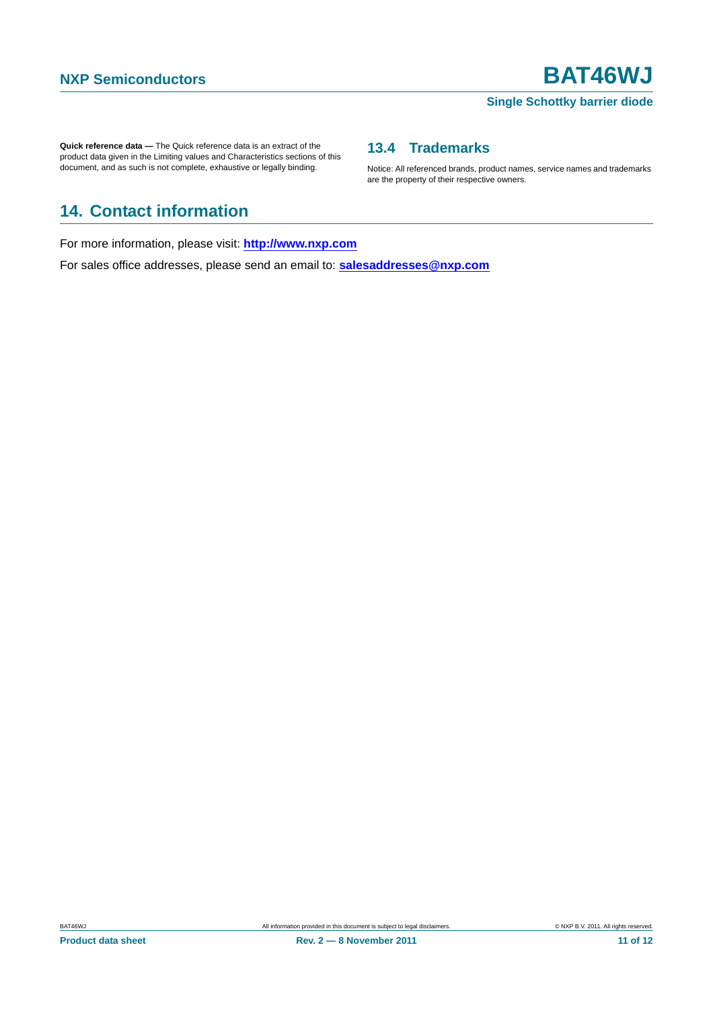#### **Single Schottky barrier diode**

Notice: All referenced brands, product names, service names and trademarks

<span id="page-10-1"></span>**13.4 Trademarks**

are the property of their respective owners.

**Quick reference data —** The Quick reference data is an extract of the product data given in the Limiting values and Characteristics sections of this document, and as such is not complete, exhaustive or legally binding.

## <span id="page-10-0"></span>**14. Contact information**

For more information, please visit: **http://www.nxp.com**

For sales office addresses, please send an email to: **salesaddresses@nxp.com**